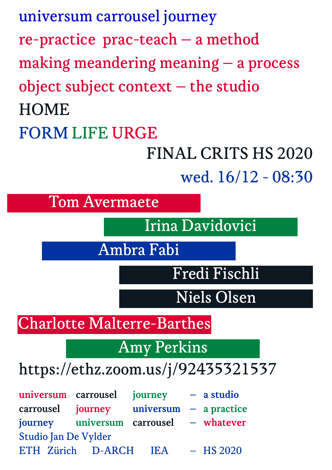universum carrousel journey re-practice prac-teach – a method making meandering meaning – a process object subject context – the studio **HOME** FORM LIFE URGE

> FINAL CRITS HS 2020 wed. 16/12 - 08:30

universum carrousel journey – a studio carrousel journey universum – a practice journey universum carrousel – whatever Studio Jan De Vylder ETH Zürich D-ARCH IEA – HS 2020 https://ethz.zoom.us/j/92435321537 Tom Avermaete Irina Davidovici Ambra Fabi Fredi Fischli Charlotte Malterre-Barthes Amy Perkins Niels Olsen